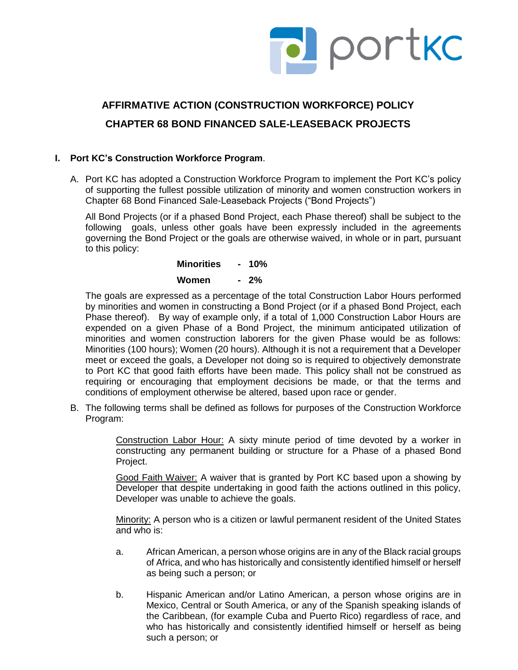

# **AFFIRMATIVE ACTION (CONSTRUCTION WORKFORCE) POLICY CHAPTER 68 BOND FINANCED SALE-LEASEBACK PROJECTS**

# **I. Port KC's Construction Workforce Program**.

A. Port KC has adopted a Construction Workforce Program to implement the Port KC's policy of supporting the fullest possible utilization of minority and women construction workers in Chapter 68 Bond Financed Sale-Leaseback Projects ("Bond Projects")

All Bond Projects (or if a phased Bond Project, each Phase thereof) shall be subject to the following goals, unless other goals have been expressly included in the agreements governing the Bond Project or the goals are otherwise waived, in whole or in part, pursuant to this policy:

> **Minorities - 10% Women - 2%**

The goals are expressed as a percentage of the total Construction Labor Hours performed by minorities and women in constructing a Bond Project (or if a phased Bond Project, each Phase thereof). By way of example only, if a total of 1,000 Construction Labor Hours are expended on a given Phase of a Bond Project, the minimum anticipated utilization of minorities and women construction laborers for the given Phase would be as follows: Minorities (100 hours); Women (20 hours). Although it is not a requirement that a Developer meet or exceed the goals, a Developer not doing so is required to objectively demonstrate to Port KC that good faith efforts have been made. This policy shall not be construed as requiring or encouraging that employment decisions be made, or that the terms and conditions of employment otherwise be altered, based upon race or gender.

B. The following terms shall be defined as follows for purposes of the Construction Workforce Program:

> Construction Labor Hour: A sixty minute period of time devoted by a worker in constructing any permanent building or structure for a Phase of a phased Bond Project.

> Good Faith Waiver: A waiver that is granted by Port KC based upon a showing by Developer that despite undertaking in good faith the actions outlined in this policy, Developer was unable to achieve the goals.

> Minority: A person who is a citizen or lawful permanent resident of the United States and who is:

- a. African American, a person whose origins are in any of the Black racial groups of Africa, and who has historically and consistently identified himself or herself as being such a person; or
- b. Hispanic American and/or Latino American, a person whose origins are in Mexico, Central or South America, or any of the Spanish speaking islands of the Caribbean, (for example Cuba and Puerto Rico) regardless of race, and who has historically and consistently identified himself or herself as being such a person; or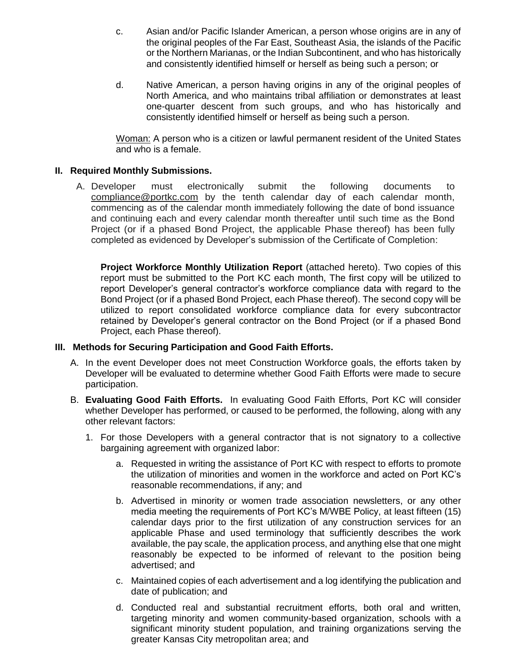- c. Asian and/or Pacific Islander American, a person whose origins are in any of the original peoples of the Far East, Southeast Asia, the islands of the Pacific or the Northern Marianas, or the Indian Subcontinent, and who has historically and consistently identified himself or herself as being such a person; or
- d. Native American, a person having origins in any of the original peoples of North America, and who maintains tribal affiliation or demonstrates at least one-quarter descent from such groups, and who has historically and consistently identified himself or herself as being such a person.

Woman: A person who is a citizen or lawful permanent resident of the United States and who is a female.

## **II. Required Monthly Submissions.**

A. Developer must electronically submit the following documents to [compliance@portkc.com](mailto:compliance@portkc.com) by the tenth calendar day of each calendar month, commencing as of the calendar month immediately following the date of bond issuance and continuing each and every calendar month thereafter until such time as the Bond Project (or if a phased Bond Project, the applicable Phase thereof) has been fully completed as evidenced by Developer's submission of the Certificate of Completion:

**Project Workforce Monthly Utilization Report** (attached hereto). Two copies of this report must be submitted to the Port KC each month, The first copy will be utilized to report Developer's general contractor's workforce compliance data with regard to the Bond Project (or if a phased Bond Project, each Phase thereof). The second copy will be utilized to report consolidated workforce compliance data for every subcontractor retained by Developer's general contractor on the Bond Project (or if a phased Bond Project, each Phase thereof).

#### **III. Methods for Securing Participation and Good Faith Efforts.**

- A. In the event Developer does not meet Construction Workforce goals, the efforts taken by Developer will be evaluated to determine whether Good Faith Efforts were made to secure participation.
- B. **Evaluating Good Faith Efforts.** In evaluating Good Faith Efforts, Port KC will consider whether Developer has performed, or caused to be performed, the following, along with any other relevant factors:
	- 1. For those Developers with a general contractor that is not signatory to a collective bargaining agreement with organized labor:
		- a. Requested in writing the assistance of Port KC with respect to efforts to promote the utilization of minorities and women in the workforce and acted on Port KC's reasonable recommendations, if any; and
		- b. Advertised in minority or women trade association newsletters, or any other media meeting the requirements of Port KC's M/WBE Policy, at least fifteen (15) calendar days prior to the first utilization of any construction services for an applicable Phase and used terminology that sufficiently describes the work available, the pay scale, the application process, and anything else that one might reasonably be expected to be informed of relevant to the position being advertised; and
		- c. Maintained copies of each advertisement and a log identifying the publication and date of publication; and
		- d. Conducted real and substantial recruitment efforts, both oral and written, targeting minority and women community-based organization, schools with a significant minority student population, and training organizations serving the greater Kansas City metropolitan area; and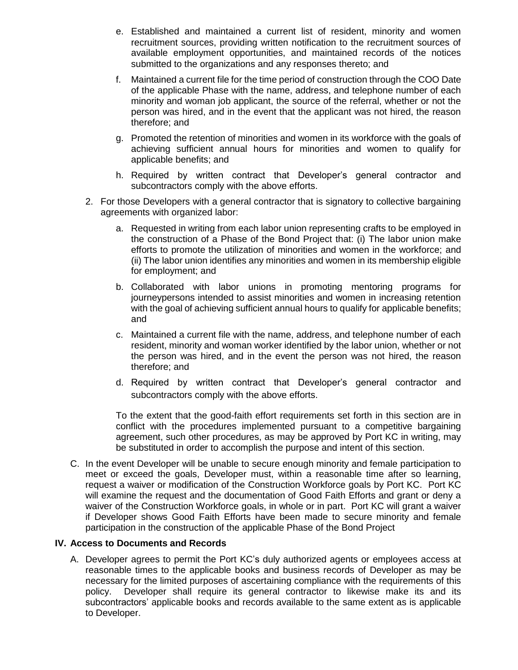- e. Established and maintained a current list of resident, minority and women recruitment sources, providing written notification to the recruitment sources of available employment opportunities, and maintained records of the notices submitted to the organizations and any responses thereto; and
- f. Maintained a current file for the time period of construction through the COO Date of the applicable Phase with the name, address, and telephone number of each minority and woman job applicant, the source of the referral, whether or not the person was hired, and in the event that the applicant was not hired, the reason therefore; and
- g. Promoted the retention of minorities and women in its workforce with the goals of achieving sufficient annual hours for minorities and women to qualify for applicable benefits; and
- h. Required by written contract that Developer's general contractor and subcontractors comply with the above efforts.
- 2. For those Developers with a general contractor that is signatory to collective bargaining agreements with organized labor:
	- a. Requested in writing from each labor union representing crafts to be employed in the construction of a Phase of the Bond Project that: (i) The labor union make efforts to promote the utilization of minorities and women in the workforce; and (ii) The labor union identifies any minorities and women in its membership eligible for employment; and
	- b. Collaborated with labor unions in promoting mentoring programs for journeypersons intended to assist minorities and women in increasing retention with the goal of achieving sufficient annual hours to qualify for applicable benefits; and
	- c. Maintained a current file with the name, address, and telephone number of each resident, minority and woman worker identified by the labor union, whether or not the person was hired, and in the event the person was not hired, the reason therefore; and
	- d. Required by written contract that Developer's general contractor and subcontractors comply with the above efforts.

To the extent that the good-faith effort requirements set forth in this section are in conflict with the procedures implemented pursuant to a competitive bargaining agreement, such other procedures, as may be approved by Port KC in writing, may be substituted in order to accomplish the purpose and intent of this section.

C. In the event Developer will be unable to secure enough minority and female participation to meet or exceed the goals, Developer must, within a reasonable time after so learning, request a waiver or modification of the Construction Workforce goals by Port KC. Port KC will examine the request and the documentation of Good Faith Efforts and grant or deny a waiver of the Construction Workforce goals, in whole or in part. Port KC will grant a waiver if Developer shows Good Faith Efforts have been made to secure minority and female participation in the construction of the applicable Phase of the Bond Project

#### **IV. Access to Documents and Records**

A. Developer agrees to permit the Port KC's duly authorized agents or employees access at reasonable times to the applicable books and business records of Developer as may be necessary for the limited purposes of ascertaining compliance with the requirements of this policy. Developer shall require its general contractor to likewise make its and its subcontractors' applicable books and records available to the same extent as is applicable to Developer.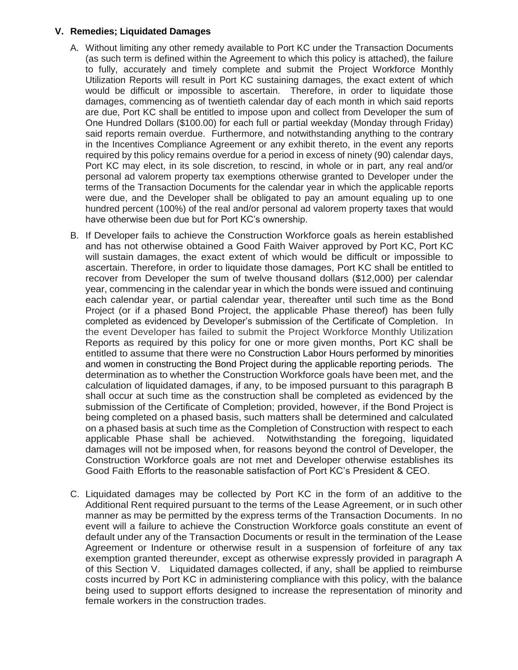#### **V. Remedies; Liquidated Damages**

- A. Without limiting any other remedy available to Port KC under the Transaction Documents (as such term is defined within the Agreement to which this policy is attached), the failure to fully, accurately and timely complete and submit the Project Workforce Monthly Utilization Reports will result in Port KC sustaining damages, the exact extent of which would be difficult or impossible to ascertain. Therefore, in order to liquidate those damages, commencing as of twentieth calendar day of each month in which said reports are due, Port KC shall be entitled to impose upon and collect from Developer the sum of One Hundred Dollars (\$100.00) for each full or partial weekday (Monday through Friday) said reports remain overdue. Furthermore, and notwithstanding anything to the contrary in the Incentives Compliance Agreement or any exhibit thereto, in the event any reports required by this policy remains overdue for a period in excess of ninety (90) calendar days, Port KC may elect, in its sole discretion, to rescind, in whole or in part, any real and/or personal ad valorem property tax exemptions otherwise granted to Developer under the terms of the Transaction Documents for the calendar year in which the applicable reports were due, and the Developer shall be obligated to pay an amount equaling up to one hundred percent (100%) of the real and/or personal ad valorem property taxes that would have otherwise been due but for Port KC's ownership.
- B. If Developer fails to achieve the Construction Workforce goals as herein established and has not otherwise obtained a Good Faith Waiver approved by Port KC, Port KC will sustain damages, the exact extent of which would be difficult or impossible to ascertain. Therefore, in order to liquidate those damages, Port KC shall be entitled to recover from Developer the sum of twelve thousand dollars (\$12,000) per calendar year, commencing in the calendar year in which the bonds were issued and continuing each calendar year, or partial calendar year, thereafter until such time as the Bond Project (or if a phased Bond Project, the applicable Phase thereof) has been fully completed as evidenced by Developer's submission of the Certificate of Completion. In the event Developer has failed to submit the Project Workforce Monthly Utilization Reports as required by this policy for one or more given months, Port KC shall be entitled to assume that there were no Construction Labor Hours performed by minorities and women in constructing the Bond Project during the applicable reporting periods. The determination as to whether the Construction Workforce goals have been met, and the calculation of liquidated damages, if any, to be imposed pursuant to this paragraph B shall occur at such time as the construction shall be completed as evidenced by the submission of the Certificate of Completion; provided, however, if the Bond Project is being completed on a phased basis, such matters shall be determined and calculated on a phased basis at such time as the Completion of Construction with respect to each applicable Phase shall be achieved. Notwithstanding the foregoing, liquidated damages will not be imposed when, for reasons beyond the control of Developer, the Construction Workforce goals are not met and Developer otherwise establishes its Good Faith Efforts to the reasonable satisfaction of Port KC's President & CEO.
- C. Liquidated damages may be collected by Port KC in the form of an additive to the Additional Rent required pursuant to the terms of the Lease Agreement, or in such other manner as may be permitted by the express terms of the Transaction Documents. In no event will a failure to achieve the Construction Workforce goals constitute an event of default under any of the Transaction Documents or result in the termination of the Lease Agreement or Indenture or otherwise result in a suspension of forfeiture of any tax exemption granted thereunder, except as otherwise expressly provided in paragraph A of this Section V. Liquidated damages collected, if any, shall be applied to reimburse costs incurred by Port KC in administering compliance with this policy, with the balance being used to support efforts designed to increase the representation of minority and female workers in the construction trades.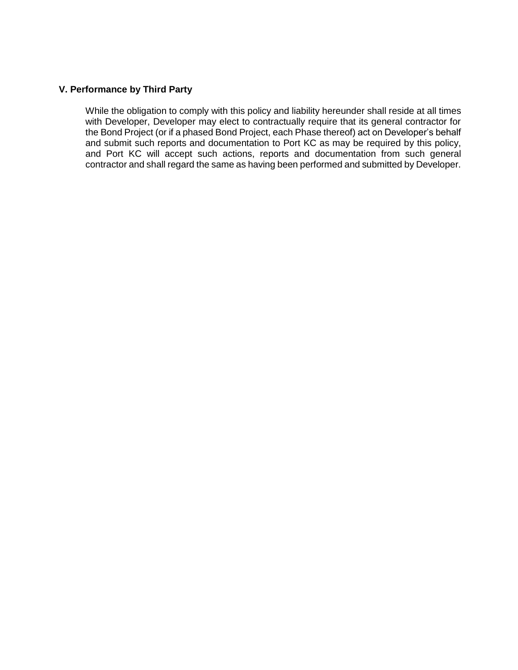### **V. Performance by Third Party**

While the obligation to comply with this policy and liability hereunder shall reside at all times with Developer, Developer may elect to contractually require that its general contractor for the Bond Project (or if a phased Bond Project, each Phase thereof) act on Developer's behalf and submit such reports and documentation to Port KC as may be required by this policy, and Port KC will accept such actions, reports and documentation from such general contractor and shall regard the same as having been performed and submitted by Developer.